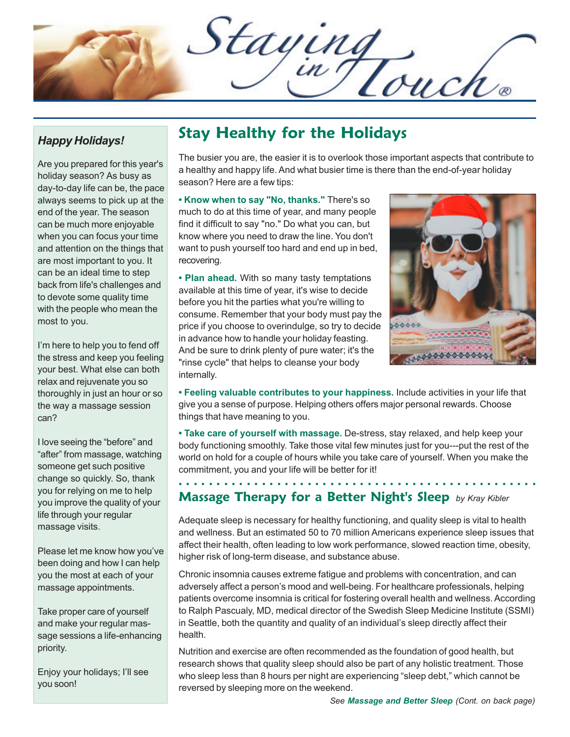Staying

#### *Happy Holidays!*

Are you prepared for this year's holiday season? As busy as day-to-day life can be, the pace always seems to pick up at the end of the year. The season can be much more enjoyable when you can focus your time and attention on the things that are most important to you. It can be an ideal time to step back from life's challenges and to devote some quality time with the people who mean the most to you.

I'm here to help you to fend off the stress and keep you feeling your best. What else can both relax and rejuvenate you so thoroughly in just an hour or so the way a massage session can?

I love seeing the "before" and "after" from massage, watching someone get such positive change so quickly. So, thank you for relying on me to help you improve the quality of your life through your regular massage visits.

Please let me know how you've been doing and how I can help you the most at each of your massage appointments.

Take proper care of yourself and make your regular massage sessions a life-enhancing priority.

Enjoy your holidays; I'll see you soon!

## **Stay Healthy for the Holidays**

The busier you are, the easier it is to overlook those important aspects that contribute to a healthy and happy life. And what busier time is there than the end-of-year holiday season? Here are a few tips:

**• Know when to say "No, thanks."** There's so much to do at this time of year, and many people find it difficult to say "no." Do what you can, but know where you need to draw the line. You don't want to push yourself too hard and end up in bed, recovering.

**• Plan ahead.** With so many tasty temptations available at this time of year, it's wise to decide before you hit the parties what you're willing to consume. Remember that your body must pay the price if you choose to overindulge, so try to decide in advance how to handle your holiday feasting. And be sure to drink plenty of pure water; it's the "rinse cycle" that helps to cleanse your body internally.



**• Feeling valuable contributes to your happiness.** Include activities in your life that give you a sense of purpose. Helping others offers major personal rewards. Choose things that have meaning to you.

**• Take care of yourself with massage.** De-stress, stay relaxed, and help keep your body functioning smoothly. Take those vital few minutes just for you---put the rest of the world on hold for a couple of hours while you take care of yourself. When you make the commitment, you and your life will be better for it!

○○○○○○○○○○○○○○○○○○ ○○○○○○○○○○○○○○○○○○○○○○○○○○○○○○

### **Massage Therapy for a Better Night's Sleep** *by Kray Kibler*

Adequate sleep is necessary for healthy functioning, and quality sleep is vital to health and wellness. But an estimated 50 to 70 million Americans experience sleep issues that affect their health, often leading to low work performance, slowed reaction time, obesity, higher risk of long-term disease, and substance abuse.

Chronic insomnia causes extreme fatigue and problems with concentration, and can adversely affect a person's mood and well-being. For healthcare professionals, helping patients overcome insomnia is critical for fostering overall health and wellness. According to Ralph Pascualy, MD, medical director of the Swedish Sleep Medicine Institute (SSMI) in Seattle, both the quantity and quality of an individual's sleep directly affect their health.

Nutrition and exercise are often recommended as the foundation of good health, but research shows that quality sleep should also be part of any holistic treatment. Those who sleep less than 8 hours per night are experiencing "sleep debt," which cannot be reversed by sleeping more on the weekend.